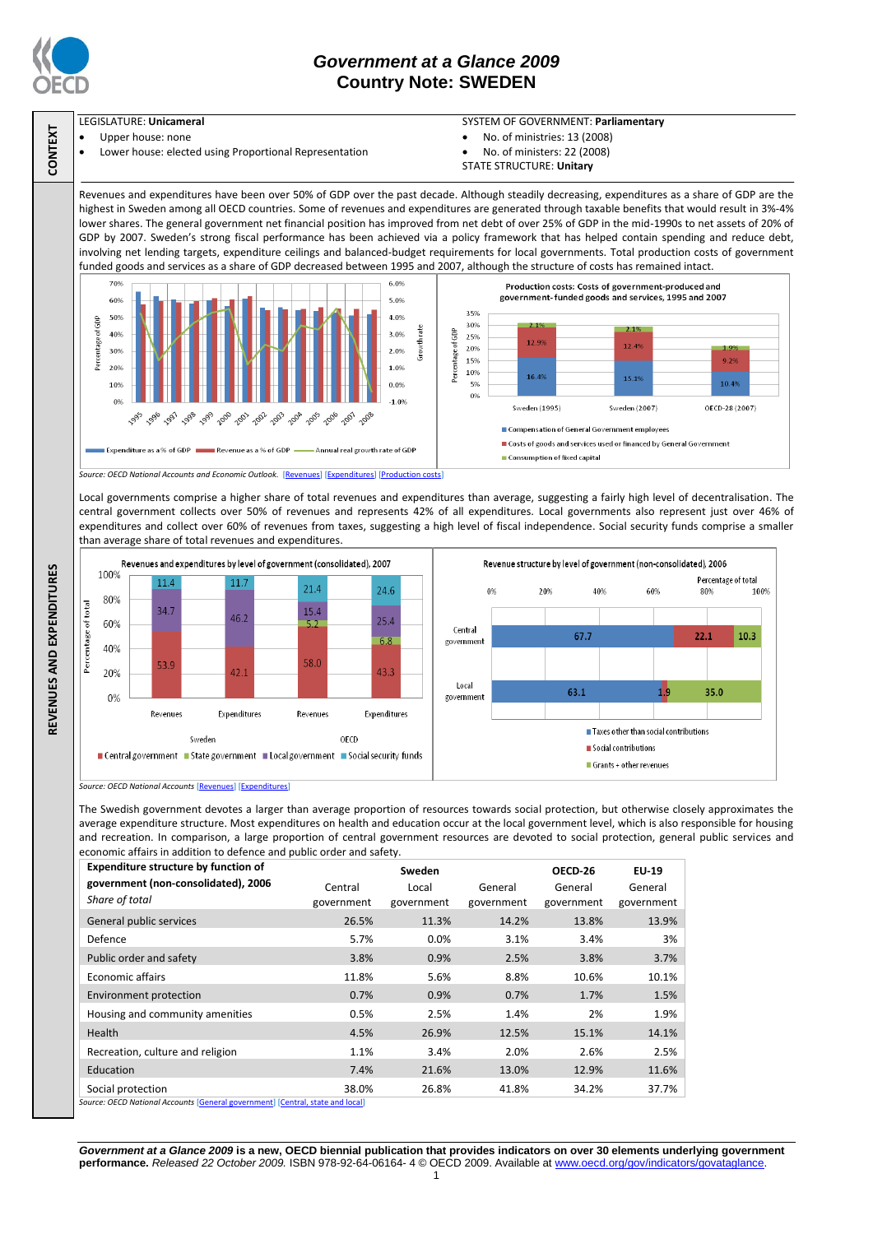

**CONTEXT**

# *Government at a Glance 2009*  **Country Note: SWEDEN**

## LEGISLATURE: **Unicameral**

- Upper house: none
- Lower house: elected using Proportional Representation

### SYSTEM OF GOVERNMENT: **Parliamentary**

Percentage of total

100%

10.3

80%

 $22.1$ 

35.0

60%

 $1<sup>0</sup>$ 

- No. of ministries: 13 (2008)
- No. of ministers: 22 (2008)
- STATE STRUCTURE: **Unitary**

Revenues and expenditures have been over 50% of GDP over the past decade. Although steadily decreasing, expenditures as a share of GDP are the highest in Sweden among all OECD countries. Some of revenues and expenditures are generated through taxable benefits that would result in 3%-4% lower shares. The general government net financial position has improved from net debt of over 25% of GDP in the mid-1990s to net assets of 20% of GDP by 2007. Sweden's strong fiscal performance has been achieved via a policy framework that has helped contain spending and reduce debt, involving net lending targets, expenditure ceilings and balanced-budget requirements for local governments. Total production costs of government funded goods and services as a share of GDP decreased between 1995 and 2007, although the structure of costs has remained intact.



Local governments comprise a higher share of total revenues and expenditures than average, suggesting a fairly high level of decentralisation. The central government collects over 50% of revenues and represents 42% of all expenditures. Local governments also represent just over 46% of expenditures and collect over 60% of revenues from taxes, suggesting a high level of fiscal independence. Social security funds comprise a smaller than average share of total revenues and expenditures.



*Source: OECD National Accounts* [\[Revenues\]](http://dx.doi.org/10.1787/723418413857) [\[Expenditures\]](http://dx.doi.org/10.1787/723508524025)

The Swedish government devotes a larger than average proportion of resources towards social protection, but otherwise closely approximates the average expenditure structure. Most expenditures on health and education occur at the local government level, which is also responsible for housing and recreation. In comparison, a large proportion of central government resources are devoted to social protection, general public services and economic affairs in addition to defence and public order and safety.

| <b>Expenditure structure by function of</b>                                    | Sweden     |            |            | OECD-26    | EU-19      |  |  |
|--------------------------------------------------------------------------------|------------|------------|------------|------------|------------|--|--|
| government (non-consolidated), 2006                                            | Central    | Local      | General    | General    | General    |  |  |
| Share of total                                                                 | government | government | government | government | government |  |  |
| General public services                                                        | 26.5%      | 11.3%      | 14.2%      | 13.8%      | 13.9%      |  |  |
| Defence                                                                        | 5.7%       | 0.0%       | 3.1%       | 3.4%       | 3%         |  |  |
| Public order and safety                                                        | 3.8%       | 0.9%       | 2.5%       | 3.8%       | 3.7%       |  |  |
| Economic affairs                                                               | 11.8%      | 5.6%       | 8.8%       | 10.6%      | 10.1%      |  |  |
| Environment protection                                                         | 0.7%       | 0.9%       | 0.7%       | 1.7%       | 1.5%       |  |  |
| Housing and community amenities                                                | 0.5%       | 2.5%       | 1.4%       | 2%         | 1.9%       |  |  |
| <b>Health</b>                                                                  | 4.5%       | 26.9%      | 12.5%      | 15.1%      | 14.1%      |  |  |
| Recreation, culture and religion                                               | 1.1%       | 3.4%       | 2.0%       | 2.6%       | 2.5%       |  |  |
| Education                                                                      | 7.4%       | 21.6%      | 13.0%      | 12.9%      | 11.6%      |  |  |
| Social protection                                                              | 38.0%      | 26.8%      | 41.8%      | 34.2%      | 37.7%      |  |  |
| Source: OECD National Accounts [General government] [Central, state and local] |            |            |            |            |            |  |  |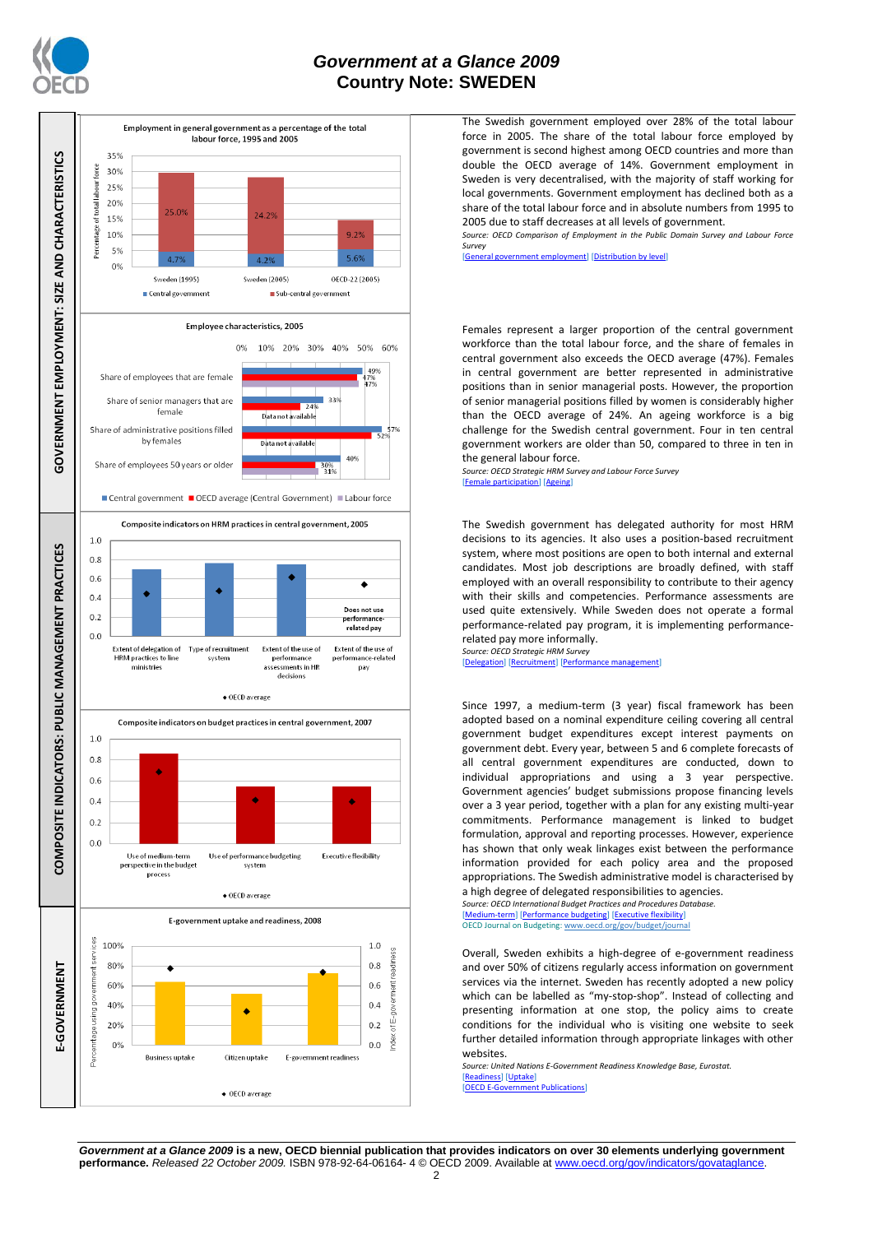

### *Government at a Glance 2009*  **Country Note: SWEDEN**



The Swedish government employed over 28% of the total labour force in 2005. The share of the total labour force employed by government is second highest among OECD countries and more than double the OECD average of 14%. Government employment in Sweden is very decentralised, with the majority of staff working for local governments. Government employment has declined both as a share of the total labour force and in absolute numbers from 1995 to 2005 due to staff decreases at all levels of government.

*Source: OECD Comparison of Employment in the Public Domain Survey and Labour Force Survey*

[\[General government employment\]](http://dx.doi.org/10.1787/723622503117) [\[Distribution by level\]](http://dx.doi.org/10.1787/723627140760)

Females represent a larger proportion of the central government workforce than the total labour force, and the share of females in central government also exceeds the OECD average (47%). Females in central government are better represented in administrative positions than in senior managerial posts. However, the proportion of senior managerial positions filled by women is considerably higher than the OECD average of 24%. An ageing workforce is a big challenge for the Swedish central government. Four in ten central government workers are older than 50, compared to three in ten in the general labour force.

*Source: OECD Strategic HRM Survey and Labour Force Survey* [\[Female participation\]](http://dx.doi.org/10.1787/723642841533) [\[Ageing\]](http://dx.doi.org/10.1787/723656070327)

The Swedish government has delegated authority for most HRM decisions to its agencies. It also uses a position-based recruitment system, where most positions are open to both internal and external candidates. Most job descriptions are broadly defined, with staff employed with an overall responsibility to contribute to their agency with their skills and competencies. Performance assessments are used quite extensively. While Sweden does not operate a formal performance-related pay program, it is implementing performancerelated pay more informally.

*Source: OECD Strategic HRM Survey*  [\[Delegation\]](http://dx.doi.org/10.1787/723663744332) [\[Recruitment\]](http://dx.doi.org/10.1787/723668744361) [Per

Since 1997, a medium-term (3 year) fiscal framework has been adopted based on a nominal expenditure ceiling covering all central government budget expenditures except interest payments on government debt. Every year, between 5 and 6 complete forecasts of all central government expenditures are conducted, down to individual appropriations and using a 3 year perspective. Government agencies' budget submissions propose financing levels over a 3 year period, together with a plan for any existing multi-year commitments. Performance management is linked to budget formulation, approval and reporting processes. However, experience has shown that only weak linkages exist between the performance information provided for each policy area and the proposed appropriations. The Swedish administrative model is characterised by a high degree of delegated responsibilities to agencies.

*Source: OECD International Budget Practices and Procedures Database.* [\[Medium-term\]](http://dx.doi.org/10.1787/723856770865) [\[Performance budgeting\]](http://dx.doi.org/10.1787/723863437686) [\[Executive flexibility\]](http://dx.doi.org/10.1787/723876713213) OECD Journal on Budgeting[: www.oecd.org/gov/budget/journal](http://www.oecd.org/gov/budget/journal)

Overall, Sweden exhibits a high-degree of e-government readiness and over 50% of citizens regularly access information on government services via the internet. Sweden has recently adopted a new policy which can be labelled as "my-stop-shop". Instead of collecting and presenting information at one stop, the policy aims to create conditions for the individual who is visiting one website to seek further detailed information through appropriate linkages with other websites.

*Source: United Nations E-Government Readiness Knowledge Base, Eurostat.* [\[Readiness\]](http://dx.doi.org/10.1787/724248078408) [\[Uptake\]](http://dx.doi.org/10.1787/724264662272) **Eant Publications** 

*Government at a Glance 2009* **is a new, OECD biennial publication that provides indicators on over 30 elements underlying government performance.** *Released 22 October 2009.* ISBN 978-92-64-06164- 4 © OECD 2009. Available at www.oecd.org/gov/indicators/gova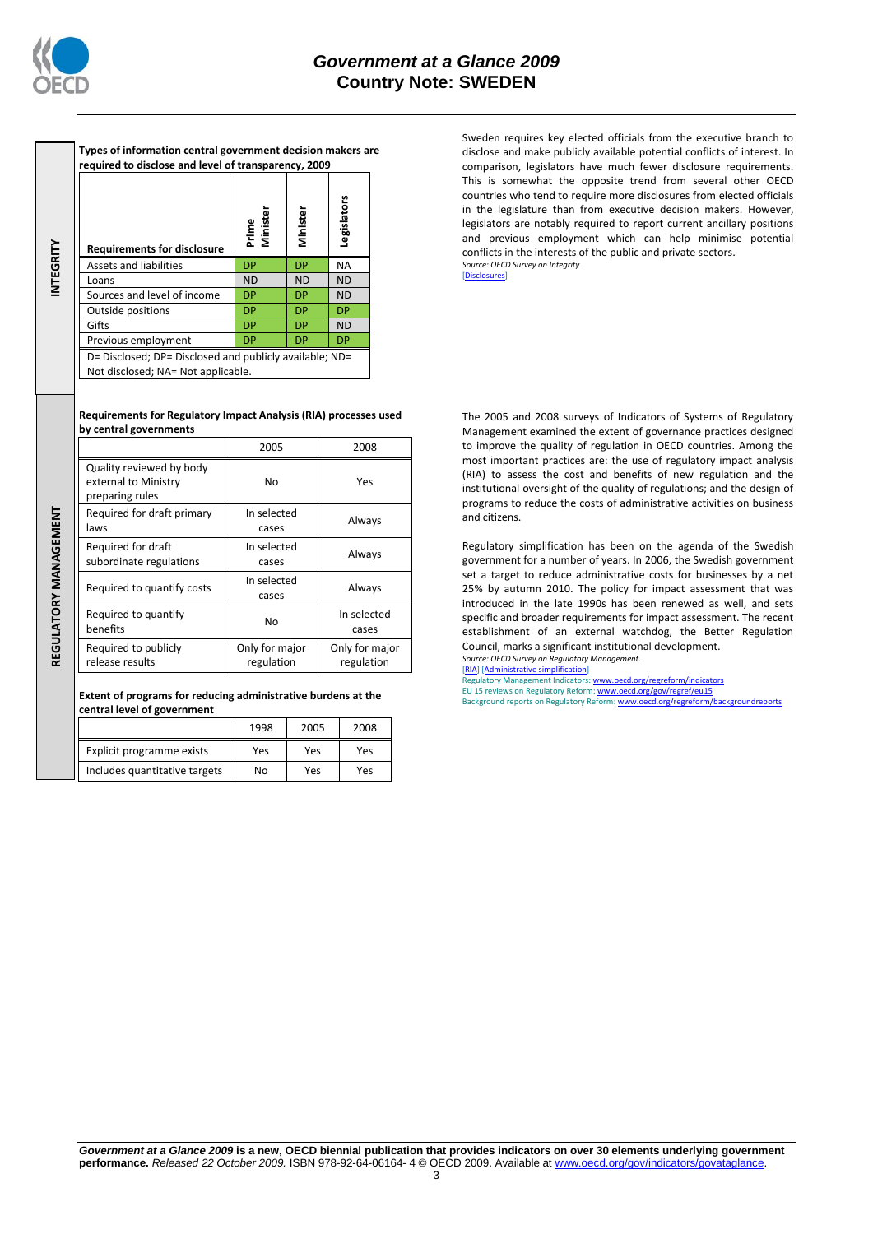

**INTEGRITY**

**REGULATORY MANAGEMENT**REGULATORY MANAGEMENT

| Types of information central government decision makers are<br>required to disclose and level of transparency, 2009 |                   |           |             |  |  |
|---------------------------------------------------------------------------------------------------------------------|-------------------|-----------|-------------|--|--|
| <b>Requirements for disclosure</b>                                                                                  | Prime<br>Minister | Minister  | Legislators |  |  |
| Assets and liabilities                                                                                              | <b>DP</b>         | DP        | <b>NA</b>   |  |  |
| Loans                                                                                                               | <b>ND</b>         | <b>ND</b> | <b>ND</b>   |  |  |
| Sources and level of income                                                                                         | <b>DP</b>         | DP        | <b>ND</b>   |  |  |
| Outside positions                                                                                                   | <b>DP</b>         | DP        | DP          |  |  |
| Gifts                                                                                                               | <b>DP</b>         | DP        | <b>ND</b>   |  |  |
| Previous employment                                                                                                 | <b>DP</b>         | DP        | <b>DP</b>   |  |  |
| D= Disclosed; DP= Disclosed and publicly available; ND=<br>Not disclosed; NA= Not applicable.                       |                   |           |             |  |  |

#### **Requirements for Regulatory Impact Analysis (RIA) processes used by central governments**

|                                                                     | 2005                         | 2008                         |  |
|---------------------------------------------------------------------|------------------------------|------------------------------|--|
| Quality reviewed by body<br>external to Ministry<br>preparing rules | No                           | Yes                          |  |
| Required for draft primary<br>laws                                  | In selected<br>cases         | Always                       |  |
| Required for draft<br>subordinate regulations                       | In selected<br>cases         | Always                       |  |
| Required to quantify costs                                          | In selected<br>cases         | Always                       |  |
| Required to quantify<br>benefits                                    | No                           | In selected<br>cases         |  |
| Required to publicly<br>release results                             | Only for major<br>regulation | Only for major<br>regulation |  |

#### **Extent of programs for reducing administrative burdens at the central level of government**

|                               | 1998 | 2005 | 2008 |
|-------------------------------|------|------|------|
| Explicit programme exists     | Yes  | Yes  | Yes  |
| Includes quantitative targets | No   | Yes  | Yes  |

Sweden requires key elected officials from the executive branch to disclose and make publicly available potential conflicts of interest. In comparison, legislators have much fewer disclosure requirements. This is somewhat the opposite trend from several other OECD countries who tend to require more disclosures from elected officials in the legislature than from executive decision makers. However, legislators are notably required to report current ancillary positions and previous employment which can help minimise potential conflicts in the interests of the public and private sectors. *Source: OECD Survey on Integrity* [\[Disclosures\]](http://dx.doi.org/10.1787/724123642681)

The 2005 and 2008 surveys of Indicators of Systems of Regulatory Management examined the extent of governance practices designed to improve the quality of regulation in OECD countries. Among the most important practices are: the use of regulatory impact analysis (RIA) to assess the cost and benefits of new regulation and the institutional oversight of the quality of regulations; and the design of programs to reduce the costs of administrative activities on business and citizens.

Regulatory simplification has been on the agenda of the Swedish government for a number of years. In 2006, the Swedish government set a target to reduce administrative costs for businesses by a net 25% by autumn 2010. The policy for impact assessment that was introduced in the late 1990s has been renewed as well, and sets specific and broader requirements for impact assessment. The recent establishment of an external watchdog, the Better Regulation Council, marks a significant institutional development. *Source: OECD Survey on Regulatory Management.*

#### [\[RIA\]](http://dx.doi.org/10.1787/724045144354) [\[Administrative simplification\]](http://dx.doi.org/10.1787/724058851054)

Regulatory Management Indicators: <u>www.oecd.org/regreform/indicators</u><br>EU 15 reviews on Regulatory Reform: <u>www.oecd.org/gov/regref/eu15</u><br>Background reports on Regulatory Reform: <u>www.oecd.org/regreform/backgroundreports</u>